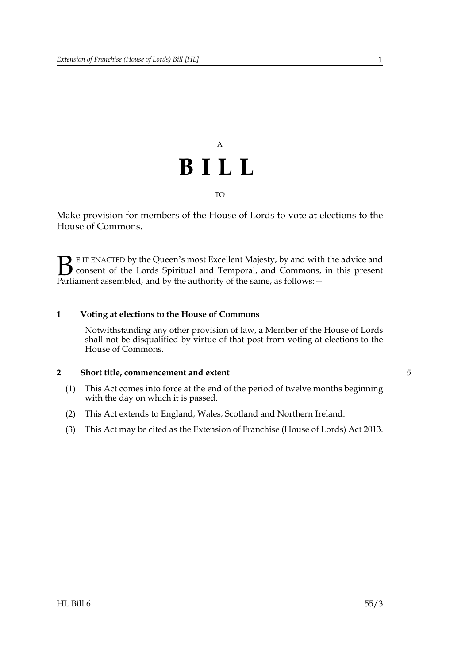

Make provision for members of the House of Lords to vote at elections to the House of Commons.

E IT ENACTED by the Queen's most Excellent Majesty, by and with the advice and consent of the Lords Spiritual and Temporal, and Commons, in this present **B** E IT ENACTED by the Queen's most Excellent Majesty, by and with consent of the Lords Spiritual and Temporal, and Commons, Parliament assembled, and by the authority of the same, as follows:  $-$ 

## **1 Voting at elections to the House of Commons**

Notwithstanding any other provision of law, a Member of the House of Lords shall not be disqualified by virtue of that post from voting at elections to the House of Commons.

## **2 Short title, commencement and extent**

- (1) This Act comes into force at the end of the period of twelve months beginning with the day on which it is passed.
- (2) This Act extends to England, Wales, Scotland and Northern Ireland.
- (3) This Act may be cited as the Extension of Franchise (House of Lords) Act 2013.

*5*